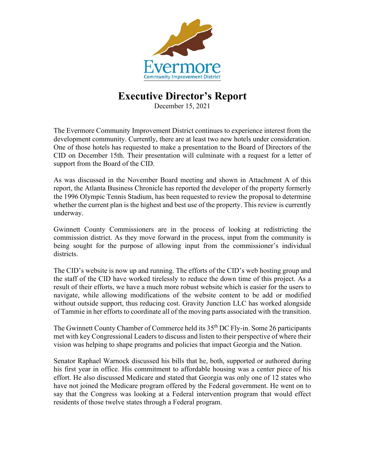

## **Executive Director's Report**

December 15, 2021

The Evermore Community Improvement District continues to experience interest from the development community. Currently, there are at least two new hotels under consideration. One of those hotels has requested to make a presentation to the Board of Directors of the CID on December 15th. Their presentation will culminate with a request for a letter of support from the Board of the CID.

As was discussed in the November Board meeting and shown in Attachment A of this report, the Atlanta Business Chronicle has reported the developer of the property formerly the 1996 Olympic Tennis Stadium, has been requested to review the proposal to determine whether the current plan is the highest and best use of the property. This review is currently underway.

Gwinnett County Commissioners are in the process of looking at redistricting the commission district. As they move forward in the process, input from the community is being sought for the purpose of allowing input from the commissioner's individual districts.

The CID's website is now up and running. The efforts of the CID's web hosting group and the staff of the CID have worked tirelessly to reduce the down time of this project. As a result of their efforts, we have a much more robust website which is easier for the users to navigate, while allowing modifications of the website content to be add or modified without outside support, thus reducing cost. Gravity Junction LLC has worked alongside of Tammie in her efforts to coordinate all of the moving parts associated with the transition.

The Gwinnett County Chamber of Commerce held its 35<sup>th</sup> DC Fly-in. Some 26 participants met with key Congressional Leaders to discuss and listen to their perspective of where their vision was helping to shape programs and policies that impact Georgia and the Nation.

Senator Raphael Warnock discussed his bills that he, both, supported or authored during his first year in office. His commitment to affordable housing was a center piece of his effort. He also discussed Medicare and stated that Georgia was only one of 12 states who have not joined the Medicare program offered by the Federal government. He went on to say that the Congress was looking at a Federal intervention program that would effect residents of those twelve states through a Federal program.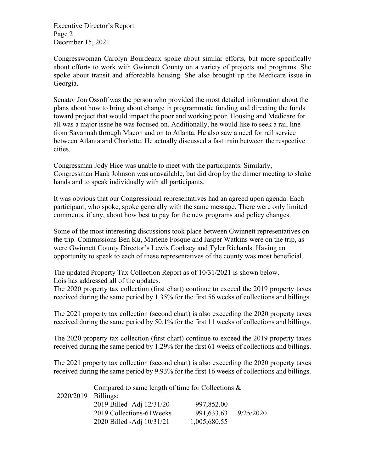Executive Director's Report Page 2 December 15, 2021

Congresswoman Carolyn Bourdeaux spoke about similar efforts, but more specifically about efforts to work with Gwinnett County on a variety of projects and programs. She spoke about transit and affordable housing. She also brought up the Medicare issue in Georgia.

Senator Jon Ossoff was the person who provided the most detailed information about the plans about how to bring about change in programmatic funding and directing the funds toward project that would impact the poor and working poor. Housing and Medicare for all was a major issue he was focused on. Additionally, he would like to seek a rail line from Savannah through Macon and on to Atlanta. He also saw a need for rail service between Atlanta and Charlotte. He actually discussed a fast train between the respective cities.

Congressman Jody Hice was unable to meet with the participants. Similarly, Congressman Hank Johnson was unavailable, but did drop by the dinner meeting to shake hands and to speak individually with all participants.

It was obvious that our Congressional representatives had an agreed upon agenda. Each participant, who spoke, spoke generally with the same message. There were only limited comments, if any, about how best to pay for the new programs and policy changes.

Some of the most interesting discussions took place between Gwinnett representatives on the trip. Commissions Ben Ku, Marlene Fosque and Jasper Watkins were on the trip, as were Gwinnett County Director's Lewis Cooksey and Tyler Richards. Having an opportunity to speak to each of these representatives of the county was most beneficial.

The updated Property Tax Collection Report as of 10/31/2021 is shown below. Lois has addressed all of the updates.

The 2020 property tax collection (first chart) continue to exceed the 2019 property taxes received during the same period by 1.35% for the first 56 weeks of collections and billings.

The 2021 property tax collection (second chart) is also exceeding the 2020 property taxes received during the same period by 50.1% for the first 11 weeks of collections and billings.

The 2020 property tax collection (first chart) continue to exceed the 2019 property taxes received during the same period by 1.29% for the first 61 weeks of collections and billings.

The 2021 property tax collection (second chart) is also exceeding the 2020 property taxes received during the same period by 9.93% for the first 16 weeks of collections and billings.

2020/2019 Compared to same length of time for Collections & Billings: 2019 Billed- Adj 12/31/20 997,852.00 2019 Collections-61Weeks 991,633.63 9/25/2020 2020 Billed -Adj 10/31/21 1,005,680.55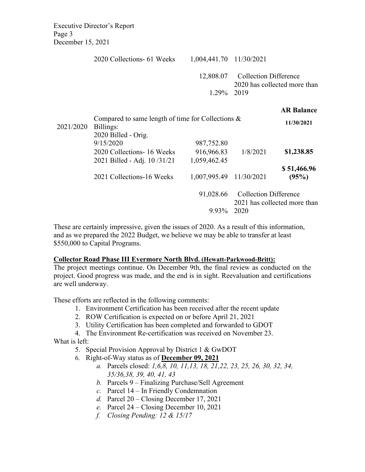Executive Director's Report Page 3 December 15, 2021

|           | 2020 Collections- 61 Weeks                                                                     | 1,004,441.70 11/30/2021                  |                                                                      |                                 |
|-----------|------------------------------------------------------------------------------------------------|------------------------------------------|----------------------------------------------------------------------|---------------------------------|
|           |                                                                                                | 12,808.07<br>1.29%                       | <b>Collection Difference</b><br>2020 has collected more than<br>2019 |                                 |
| 2021/2020 | Compared to same length of time for Collections $\&$<br>Billings:                              |                                          |                                                                      | <b>AR Balance</b><br>11/30/2021 |
|           | 2020 Billed - Orig.<br>9/15/2020<br>2020 Collections - 16 Weeks<br>2021 Billed - Adj. 10/31/21 | 987,752.80<br>916,966.83<br>1,059,462.45 | 1/8/2021                                                             | \$1,238.85                      |
|           | 2021 Collections-16 Weeks                                                                      | 1,007,995.49                             | 11/30/2021                                                           | \$51,466.96<br>(95%)            |

91,028.66 Collection Difference

2021 has collected more than

9.93% 2020

These are certainly impressive, given the issues of 2020. As a result of this information, and as we prepared the 2022 Budget, we believe we may be able to transfer at least \$550,000 to Capital Programs.

## **Collector Road Phase III Evermore North Blvd. (Hewatt-Parkwood-Britt):**

The project meetings continue. On December 9th, the final review as conducted on the project. Good progress was made, and the end is in sight. Reevaluation and certifications are well underway.

These efforts are reflected in the following comments:

- 1. Environment Certification has been received after the recent update
- 2. ROW Certification is expected on or before April 21, 2021
- 3. Utility Certification has been completed and forwarded to GDOT
- 4. The Environment Re-certification was received on November 23.

What is left:

- 5. Special Provision Approval by District 1 & GwDOT
- 6. Right-of-Way status as of **December 09, 2021**
	- *a.* Parcels closed: *1,6,8, 10, 11,13, 18, 21,22, 23, 25, 26, 30, 32, 34, 35/36,38, 39, 40, 41, 43*
	- *b.* Parcels 9 Finalizing Purchase/Sell Agreement
	- *c.* Parcel 14 In Friendly Condemnation
	- *d.* Parcel 20 Closing December 17, 2021
	- *e.* Parcel 24 Closing December 10, 2021
	- *f. Closing Pending: 12 & 15/17*